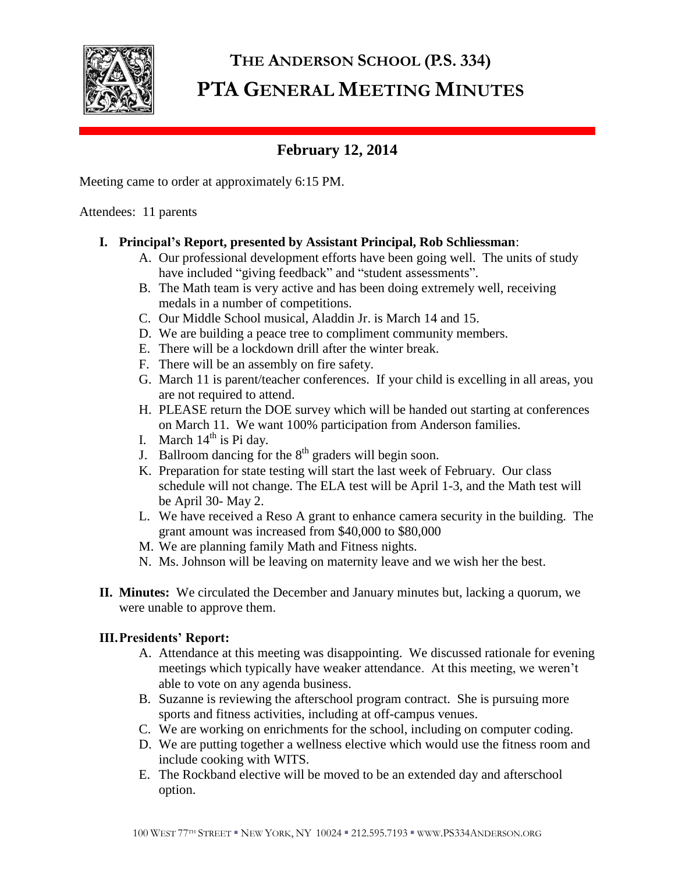

# **THE ANDERSON SCHOOL (P.S. 334) PTA GENERAL MEETING MINUTES**

# **February 12, 2014**

Meeting came to order at approximately 6:15 PM.

Attendees: 11 parents

# **I. Principal's Report, presented by Assistant Principal, Rob Schliessman**:

- A. Our professional development efforts have been going well. The units of study have included "giving feedback" and "student assessments".
- B. The Math team is very active and has been doing extremely well, receiving medals in a number of competitions.
- C. Our Middle School musical, Aladdin Jr. is March 14 and 15.
- D. We are building a peace tree to compliment community members.
- E. There will be a lockdown drill after the winter break.
- F. There will be an assembly on fire safety.
- G. March 11 is parent/teacher conferences. If your child is excelling in all areas, you are not required to attend.
- H. PLEASE return the DOE survey which will be handed out starting at conferences on March 11. We want 100% participation from Anderson families.
- I. March  $14<sup>th</sup>$  is Pi day.
- J. Ballroom dancing for the  $8<sup>th</sup>$  graders will begin soon.
- K. Preparation for state testing will start the last week of February. Our class schedule will not change. The ELA test will be April 1-3, and the Math test will be April 30- May 2.
- L. We have received a Reso A grant to enhance camera security in the building. The grant amount was increased from \$40,000 to \$80,000
- M. We are planning family Math and Fitness nights.
- N. Ms. Johnson will be leaving on maternity leave and we wish her the best.
- **II. Minutes:** We circulated the December and January minutes but, lacking a quorum, we were unable to approve them.

## **III.Presidents' Report:**

- A. Attendance at this meeting was disappointing. We discussed rationale for evening meetings which typically have weaker attendance. At this meeting, we weren't able to vote on any agenda business.
- B. Suzanne is reviewing the afterschool program contract. She is pursuing more sports and fitness activities, including at off-campus venues.
- C. We are working on enrichments for the school, including on computer coding.
- D. We are putting together a wellness elective which would use the fitness room and include cooking with WITS.
- E. The Rockband elective will be moved to be an extended day and afterschool option.